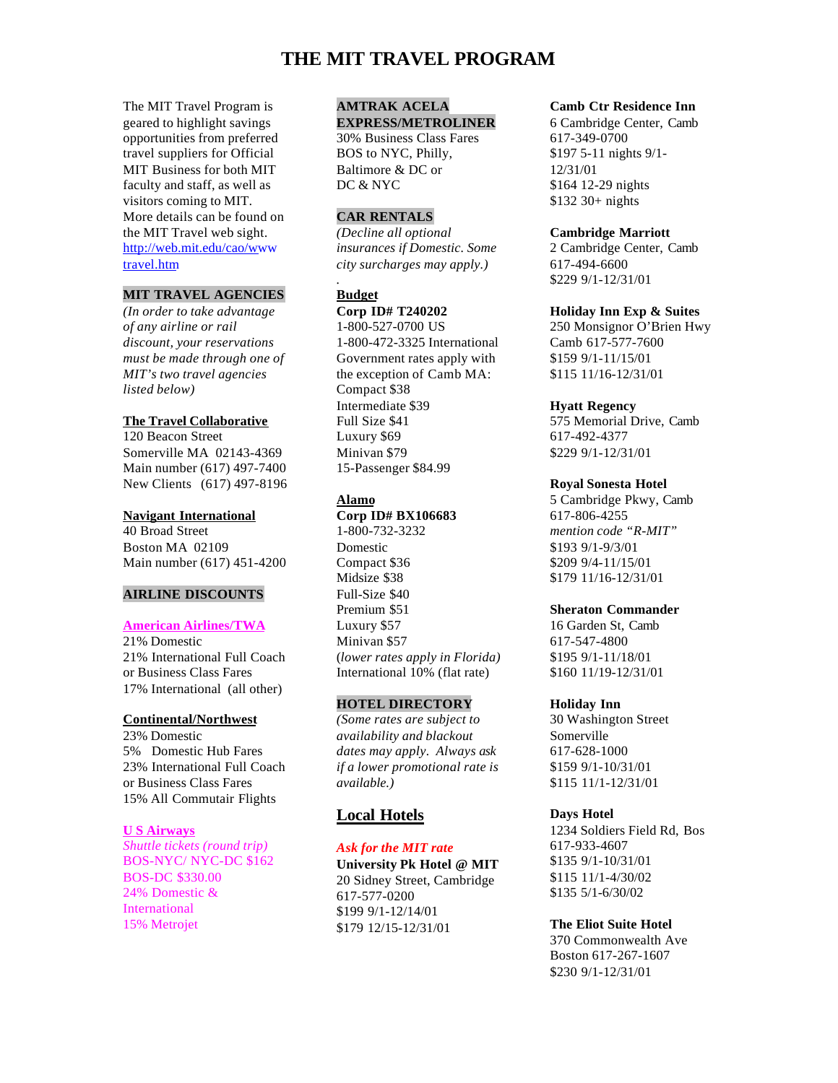# **THE MIT TRAVEL PROGRAM**

The MIT Travel Program is geared to highlight savings opportunities from preferred travel suppliers for Official MIT Business for both MIT faculty and staff, as well as visitors coming to MIT. More details can be found on the MIT Travel web sight. [http://web.mit.edu/cao/www](http://web.mit.edu/cao/www/travel.htm) travel.htm

## **MIT TRAVEL AGENCIES**

*(In order to take advantage of any airline or rail discount, your reservations must be made through one of MIT's two travel agencies listed below)*

## **The Travel Collaborative**

120 Beacon Street Somerville MA 02143-4369 Main number (617) 497-7400 New Clients (617) 497-8196

### **Navigant International**

40 Broad Street Boston MA 02109 Main number (617) 451-4200

## **AIRLINE DISCOUNTS**

### **American Airlines/TWA**

21% Domestic 21% International Full Coach or Business Class Fares 17% International (all other)

### **Continental/Northwest**

23% Domestic 5% Domestic Hub Fares 23% International Full Coach or Business Class Fares 15% All Commutair Flights

### **U S Airways**

*Shuttle tickets (round trip)* BOS-NYC/ NYC-DC \$162 BOS-DC \$330.00 24% Domestic & International 15% Metrojet

# **AMTRAK ACELA**

**EXPRESS/METROLINER** 30% Business Class Fares BOS to NYC, Philly, Baltimore & DC or DC & NYC

## **CAR RENTALS**

*(Decline all optional insurances if Domestic. Some city surcharges may apply.)*

## **Budget**

*.*

**Corp ID# T240202** 1-800-527-0700 US 1-800-472-3325 International Government rates apply with the exception of Camb MA: Compact \$38 Intermediate \$39 Full Size \$41 Luxury \$69 Minivan \$79 15-Passenger \$84.99

## **Alamo**

**Corp ID# BX106683** 1-800-732-3232 Domestic Compact \$36 Midsize \$38 Full-Size \$40 Premium \$51 Luxury \$57 Minivan \$57 (*lower rates apply in Florida)* International 10% (flat rate)

### **HOTEL DIRECTORY**

*(Some rates are subject to availability and blackout dates may apply. Always ask if a lower promotional rate is available.)*

## **Local Hotels**

# *Ask for the MIT rate*

**University Pk Hotel @ MIT** 20 Sidney Street, Cambridge 617-577-0200 \$199 9/1-12/14/01 \$179 12/15-12/31/01

### **Camb Ctr Residence Inn**

6 Cambridge Center, Camb 617-349-0700 \$197 5-11 nights 9/1- 12/31/01 \$164 12-29 nights \$132 30+ nights

## **Cambridge Marriott**

2 Cambridge Center, Camb 617-494-6600 \$229 9/1-12/31/01

### **Holiday Inn Exp & Suites**

250 Monsignor O'Brien Hwy Camb 617-577-7600 \$159 9/1-11/15/01 \$115 11/16-12/31/01

### **Hyatt Regency**

575 Memorial Drive, Camb 617-492-4377 \$229 9/1-12/31/01

### **Royal Sonesta Hotel**

5 Cambridge Pkwy, Camb 617-806-4255 *mention code "R-MIT"* \$193 9/1-9/3/01 \$209 9/4-11/15/01 \$179 11/16-12/31/01

### **Sheraton Commander**

16 Garden St, Camb 617-547-4800 \$195 9/1-11/18/01 \$160 11/19-12/31/01

#### **Holiday Inn**

30 Washington Street Somerville 617-628-1000 \$159 9/1-10/31/01 \$115 11/1-12/31/01

## **Days Hotel**

1234 Soldiers Field Rd, Bos 617-933-4607 \$135 9/1-10/31/01 \$115 11/1-4/30/02 \$135 5/1-6/30/02

## **The Eliot Suite Hotel**

370 Commonwealth Ave Boston 617-267-1607 \$230 9/1-12/31/01